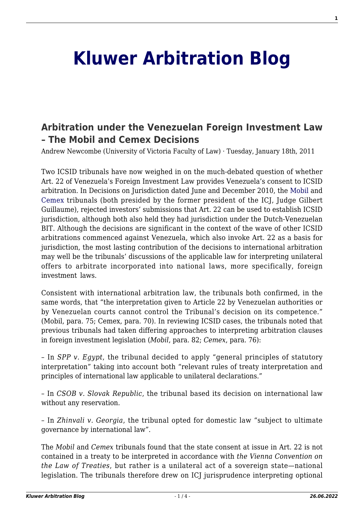## **[Kluwer Arbitration Blog](http://arbitrationblog.kluwerarbitration.com/)**

## **[Arbitration under the Venezuelan Foreign Investment Law](http://arbitrationblog.kluwerarbitration.com/2011/01/18/arbitration-under-the-venezuelan-foreign-investment-law-the-mobil-and-cemex-decisions/) [– The Mobil and Cemex Decisions](http://arbitrationblog.kluwerarbitration.com/2011/01/18/arbitration-under-the-venezuelan-foreign-investment-law-the-mobil-and-cemex-decisions/)**

Andrew Newcombe (University of Victoria Faculty of Law) · Tuesday, January 18th, 2011

Two ICSID tribunals have now weighed in on the much-debated question of whether Art. 22 of Venezuela's Foreign Investment Law provides Venezuela's consent to ICSID arbitration. In Decisions on Jurisdiction dated June and December 2010, the [Mobil](http://ita.law.uvic.ca/documents/MobilvVenezuelaJurisdiction.pdf) and [Cemex](http://ita.law.uvic.ca/documents/CemexDecisiononJurisdiction.pdf) tribunals (both presided by the former president of the ICJ, Judge Gilbert Guillaume), rejected investors' submissions that Art. 22 can be used to establish ICSID jurisdiction, although both also held they had jurisdiction under the Dutch-Venezuelan BIT. Although the decisions are significant in the context of the wave of other ICSID arbitrations commenced against Venezuela, which also invoke Art. 22 as a basis for jurisdiction, the most lasting contribution of the decisions to international arbitration may well be the tribunals' discussions of the applicable law for interpreting unilateral offers to arbitrate incorporated into national laws, more specifically, foreign investment laws.

Consistent with international arbitration law, the tribunals both confirmed, in the same words, that "the interpretation given to Article 22 by Venezuelan authorities or by Venezuelan courts cannot control the Tribunal's decision on its competence." (Mobil, para. 75; Cemex, para. 70). In reviewing ICSID cases, the tribunals noted that previous tribunals had taken differing approaches to interpreting arbitration clauses in foreign investment legislation (*Mobil*, para. 82; *Cemex*, para. 76):

– In *SPP v. Egypt*, the tribunal decided to apply "general principles of statutory interpretation" taking into account both "relevant rules of treaty interpretation and principles of international law applicable to unilateral declarations."

– In *CSOB v. Slovak Republic*, the tribunal based its decision on international law without any reservation.

– In *Zhinvali v. Georgia*, the tribunal opted for domestic law "subject to ultimate governance by international law".

The *Mobil* and *Cemex* tribunals found that the state consent at issue in Art. 22 is not contained in a treaty to be interpreted in accordance with *the Vienna Convention on the Law of Treaties*, but rather is a unilateral act of a sovereign state—national legislation. The tribunals therefore drew on ICJ jurisprudence interpreting optional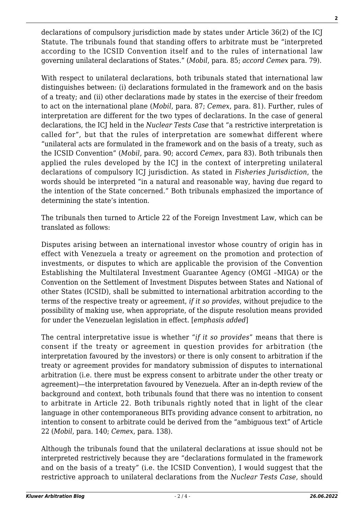declarations of compulsory jurisdiction made by states under Article 36(2) of the ICJ Statute. The tribunals found that standing offers to arbitrate must be "interpreted according to the ICSID Convention itself and to the rules of international law governing unilateral declarations of States." (*Mobil*, para. 85; *accord Cemex* para. 79).

With respect to unilateral declarations, both tribunals stated that international law distinguishes between: (i) declarations formulated in the framework and on the basis of a treaty; and (ii) other declarations made by states in the exercise of their freedom to act on the international plane (*Mobil*, para. 87; *Cemex*, para. 81). Further, rules of interpretation are different for the two types of declarations. In the case of general declarations, the ICJ held in the *Nuclear Tests Case* that "a restrictive interpretation is called for", but that the rules of interpretation are somewhat different where "unilateral acts are formulated in the framework and on the basis of a treaty, such as the ICSID Convention" (*Mobil,* para. 90; accord *Cemex*, para 83). Both tribunals then applied the rules developed by the ICJ in the context of interpreting unilateral declarations of compulsory ICJ jurisdiction. As stated in *Fisheries Jurisdiction*, the words should be interpreted "in a natural and reasonable way, having due regard to the intention of the State concerned." Both tribunals emphasized the importance of determining the state's intention.

The tribunals then turned to Article 22 of the Foreign Investment Law, which can be translated as follows:

Disputes arising between an international investor whose country of origin has in effect with Venezuela a treaty or agreement on the promotion and protection of investments, or disputes to which are applicable the provision of the Convention Establishing the Multilateral Investment Guarantee Agency (OMGI –MIGA) or the Convention on the Settlement of Investment Disputes between States and National of other States (ICSID), shall be submitted to international arbitration according to the terms of the respective treaty or agreement, *if it so provides*, without prejudice to the possibility of making use, when appropriate, of the dispute resolution means provided for under the Venezuelan legislation in effect. [*emphasis added*]

The central interpretative issue is whether "*if it so provides*" means that there is consent if the treaty or agreement in question provides for arbitration (the interpretation favoured by the investors) or there is only consent to arbitration if the treaty or agreement provides for mandatory submission of disputes to international arbitration (i.e. there must be express consent to arbitrate under the other treaty or agreement)—the interpretation favoured by Venezuela. After an in-depth review of the background and context, both tribunals found that there was no intention to consent to arbitrate in Article 22. Both tribunals rightly noted that in light of the clear language in other contemporaneous BITs providing advance consent to arbitration, no intention to consent to arbitrate could be derived from the "ambiguous text" of Article 22 (*Mobil*, para. 140; *Cemex*, para. 138).

Although the tribunals found that the unilateral declarations at issue should not be interpreted restrictively because they are "declarations formulated in the framework and on the basis of a treaty" (i.e. the ICSID Convention), I would suggest that the restrictive approach to unilateral declarations from the *Nuclear Tests Case*, should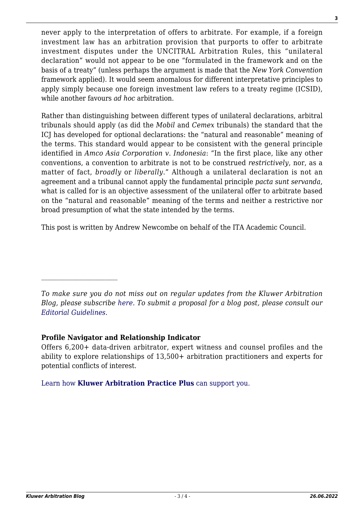never apply to the interpretation of offers to arbitrate. For example, if a foreign investment law has an arbitration provision that purports to offer to arbitrate investment disputes under the UNCITRAL Arbitration Rules, this "unilateral declaration" would not appear to be one "formulated in the framework and on the basis of a treaty" (unless perhaps the argument is made that the *New York Convention* framework applied). It would seem anomalous for different interpretative principles to apply simply because one foreign investment law refers to a treaty regime (ICSID), while another favours *ad hoc* arbitration.

Rather than distinguishing between different types of unilateral declarations, arbitral tribunals should apply (as did the *Mobil* and *Cemex* tribunals) the standard that the ICJ has developed for optional declarations: the "natural and reasonable" meaning of the terms. This standard would appear to be consistent with the general principle identified in *Amco Asia Corporation v. Indonesia*: "In the first place, like any other conventions, a convention to arbitrate is not to be construed *restrictively*, nor, as a matter of fact, *broadly* or *liberally*." Although a unilateral declaration is not an agreement and a tribunal cannot apply the fundamental principle *pacta sunt servanda*, what is called for is an objective assessment of the unilateral offer to arbitrate based on the "natural and reasonable" meaning of the terms and neither a restrictive nor broad presumption of what the state intended by the terms.

This post is written by Andrew Newcombe on behalf of the ITA Academic Council.

## **Profile Navigator and Relationship Indicator**

Offers 6,200+ data-driven arbitrator, expert witness and counsel profiles and the ability to explore relationships of 13,500+ arbitration practitioners and experts for potential conflicts of interest.

[Learn how](https://www.wolterskluwer.com/en/solutions/kluwerarbitration/practiceplus?utm_source=arbitrationblog&utm_medium=articleCTA&utm_campaign=article-banner) **[Kluwer Arbitration Practice Plus](https://www.wolterskluwer.com/en/solutions/kluwerarbitration/practiceplus?utm_source=arbitrationblog&utm_medium=articleCTA&utm_campaign=article-banner)** [can support you.](https://www.wolterskluwer.com/en/solutions/kluwerarbitration/practiceplus?utm_source=arbitrationblog&utm_medium=articleCTA&utm_campaign=article-banner)

*To make sure you do not miss out on regular updates from the Kluwer Arbitration Blog, please subscribe [here](http://arbitrationblog.kluwerarbitration.com/newsletter/). To submit a proposal for a blog post, please consult our [Editorial Guidelines.](http://arbitrationblog.kluwerarbitration.com/editorial-guidelines/)*